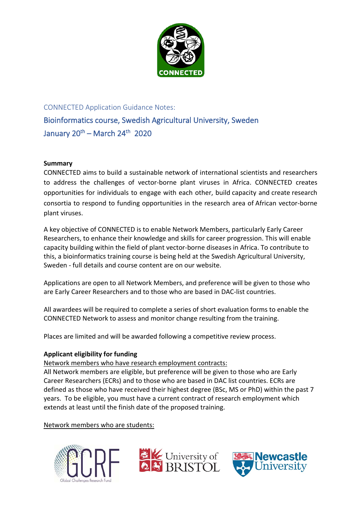

# CONNECTED Application Guidance Notes: Bioinformatics course, Swedish Agricultural University, Sweden January  $20^{th}$  – March  $24^{th}$  2020

## **Summary**

CONNECTED aims to build a sustainable network of international scientists and researchers to address the challenges of vector-borne plant viruses in Africa. CONNECTED creates opportunities for individuals to engage with each other, build capacity and create research consortia to respond to funding opportunities in the research area of African vector-borne plant viruses.

A key objective of CONNECTED is to enable Network Members, particularly Early Career Researchers, to enhance their knowledge and skills for career progression. This will enable capacity building within the field of plant vector-borne diseases in Africa. To contribute to this, a bioinformatics training course is being held at the Swedish Agricultural University, Sweden - full details and course content are on our website.

Applications are open to all Network Members, and preference will be given to those who are Early Career Researchers and to those who are based in DAC-list countries.

All awardees will be required to complete a series of short evaluation forms to enable the CONNECTED Network to assess and monitor change resulting from the training.

Places are limited and will be awarded following a competitive review process.

## **Applicant eligibility for funding**

Network members who have research employment contracts:

All Network members are eligible, but preference will be given to those who are Early Career Researchers (ECRs) and to those who are based in DAC list countries. ECRs are defined as those who have received their highest degree (BSc, MS or PhD) within the past 7 years. To be eligible, you must have a current contract of research employment which extends at least until the finish date of the proposed training.

Network members who are students:





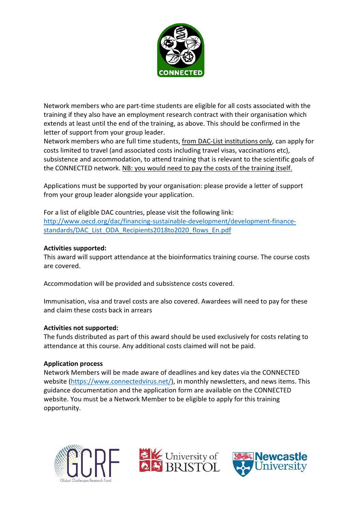

Network members who are part-time students are eligible for all costs associated with the training if they also have an employment research contract with their organisation which extends at least until the end of the training, as above. This should be confirmed in the letter of support from your group leader.

Network members who are full time students, from DAC-List institutions only, can apply for costs limited to travel (and associated costs including travel visas, vaccinations etc), subsistence and accommodation, to attend training that is relevant to the scientific goals of the CONNECTED network. NB: you would need to pay the costs of the training itself.

Applications must be supported by your organisation: please provide a letter of support from your group leader alongside your application.

For a list of eligible DAC countries, please visit the following link: [http://www.oecd.org/dac/financing-sustainable-development/development-finance](http://www.oecd.org/dac/financing-sustainable-development/development-finance-standards/DAC_List_ODA_Recipients2018to2020_flows_En.pdf)[standards/DAC\\_List\\_ODA\\_Recipients2018to2020\\_flows\\_En.pdf](http://www.oecd.org/dac/financing-sustainable-development/development-finance-standards/DAC_List_ODA_Recipients2018to2020_flows_En.pdf)

#### **Activities supported:**

This award will support attendance at the bioinformatics training course. The course costs are covered.

Accommodation will be provided and subsistence costs covered.

Immunisation, visa and travel costs are also covered. Awardees will need to pay for these and claim these costs back in arrears

#### **Activities not supported:**

The funds distributed as part of this award should be used exclusively for costs relating to attendance at this course. Any additional costs claimed will not be paid.

#### **Application process**

Network Members will be made aware of deadlines and key dates via the CONNECTED website [\(https://www.connectedvirus.net/\)](https://www.connectedvirus.net/), in monthly newsletters, and news items. This guidance documentation and the application form are available on the CONNECTED website. You must be a Network Member to be eligible to apply for this training opportunity.





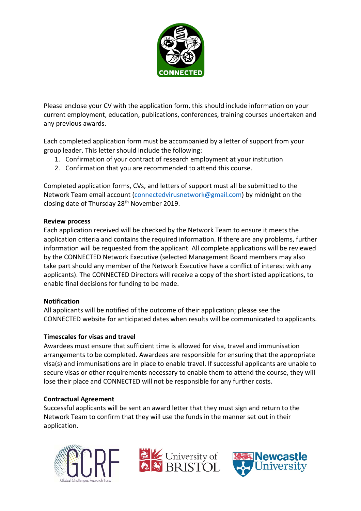

Please enclose your CV with the application form, this should include information on your current employment, education, publications, conferences, training courses undertaken and any previous awards.

Each completed application form must be accompanied by a letter of support from your group leader. This letter should include the following:

- 1. Confirmation of your contract of research employment at your institution
- 2. Confirmation that you are recommended to attend this course.

Completed application forms, CVs, and letters of support must all be submitted to the Network Team email account [\(connectedvirusnetwork@gmail.com\)](mailto:connectedvirusnetwork@gmail.com) by midnight on the closing date of Thursday 28th November 2019.

## **Review process**

Each application received will be checked by the Network Team to ensure it meets the application criteria and contains the required information. If there are any problems, further information will be requested from the applicant. All complete applications will be reviewed by the CONNECTED Network Executive (selected Management Board members may also take part should any member of the Network Executive have a conflict of interest with any applicants). The CONNECTED Directors will receive a copy of the shortlisted applications, to enable final decisions for funding to be made.

## **Notification**

All applicants will be notified of the outcome of their application; please see the CONNECTED website for anticipated dates when results will be communicated to applicants.

## **Timescales for visas and travel**

Awardees must ensure that sufficient time is allowed for visa, travel and immunisation arrangements to be completed. Awardees are responsible for ensuring that the appropriate visa(s) and immunisations are in place to enable travel. If successful applicants are unable to secure visas or other requirements necessary to enable them to attend the course, they will lose their place and CONNECTED will not be responsible for any further costs.

## **Contractual Agreement**

Successful applicants will be sent an award letter that they must sign and return to the Network Team to confirm that they will use the funds in the manner set out in their application.